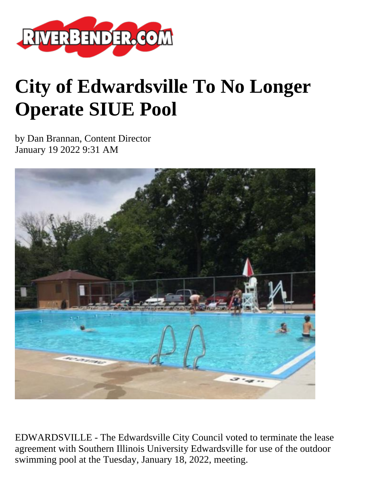

## **City of Edwardsville To No Longer Operate SIUE Pool**

by Dan Brannan, Content Director January 19 2022 9:31 AM



EDWARDSVILLE - The Edwardsville City Council voted to terminate the lease agreement with Southern Illinois University Edwardsville for use of the outdoor swimming pool at the Tuesday, January 18, 2022, meeting.